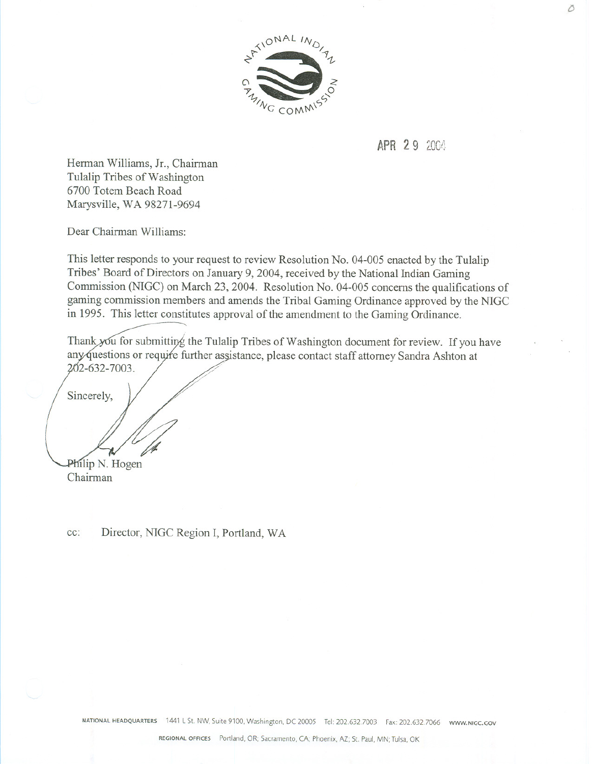

## **APR 29 2004**

Herman Williams, Jr., Chairman Tulalip Tribes of Washington 6700 Totem Beach Road Marysville, WA 98271-9694

Dear Chairman Williams:

This letter responds to your request to review Resolution No. 04-005 enacted by the Tulalip Tribes' Board of Directors on January 9,2004, received by the National Indian Gaming Commission (NIGC) on March 23, 2004. Resolution No. 04-005 concerns the qualifications of gaming commission members and amends the Tribal Gaming Ordinance approved by the NIGC in 1995. This letter constitutes approval of the amendment to the Gaming Ordinance.

Thank you for submitting the Tulalip Tribes of Washington document for review. If you have any questions or require further assistance, please contact staff attorney Sandra Ashton at 202-632-7003.

Sincerely,

Philip N. Hogen

Chairman

cc: Director, NIGC Region I, Portland, WA

NATIONAL HEADQUARTERS 1441 L St. NW, Suite 9100, Washington, DC 20005 Tel: 202.632.7003 Fax: 202.632.7066 www.NIGC.GOV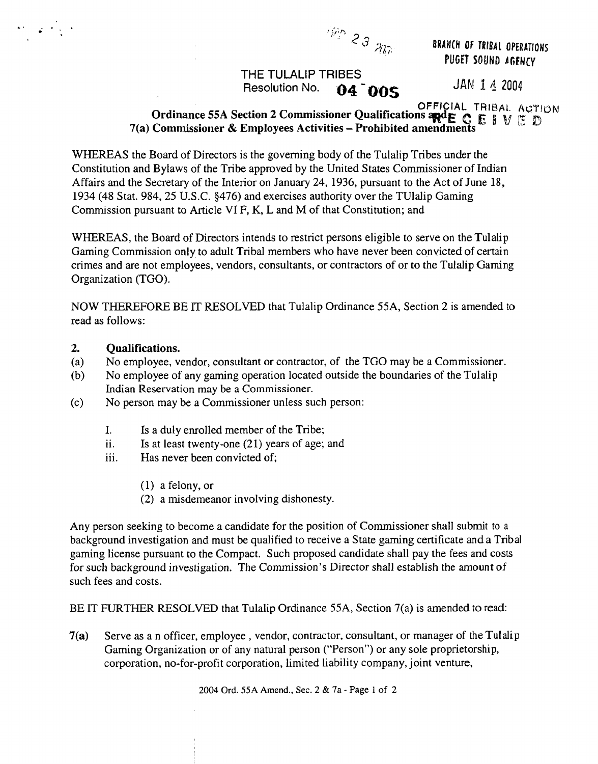

**THE TULALIP TRIBES Resolution No. 04 005** JAN 1 4 2004

**PUGET SOUND AGENCY** 

## **OFFICIAL TRIBAL ACTION**<br>Ordinance 55A Section 2 Commissioner Qualifications and E C E 1 V E D<br>7(a) Commissioner & Employees Activities – Prohibited amendments

**WITIEREAS the Board of Directors is the governing body of the Tulalip Tribes under the Constitution and Bylaws of the Tribe approved by the United States Commissioner of Indian Affairs and the Secretary of the Interior on January 24, 1936, pursuant to the Act of June 18, 1934 (48 Stat. 984, 25 U.S.C. §476) and exercises authority over the TUlalip Gaming Commission pursuant to Article VI F, K, <sup>L</sup> and M of that Constitution; and**

**WHEREAS, the Board of Directors intends to restrict persons eligible to serve on the Tulalip Gaming Commission only to adult Tribal members who have never been convicted of certain crimes and are not employees, vendors, consultants, or contractors of or to the Tulalip Gaming Organization (TOO).**

**NOW THEREFORE BE iT RESOLVED that Tulalip Ordinance 55A, Section <sup>2</sup> is amended to read as follows:**

## **2. Qualifications.**

en la estat

- **(a) No employee, vendor, consultant or contractor, of the TGO may be <sup>a</sup> Commissioner.**
- **(b) No employee of any gaming operation located outside the boundaries of the Tulalip Indian Reservation may be <sup>a</sup> Commissioner.**
- **(c) No person may be <sup>a</sup> Commissioner unless such person:**
	- **I. Is <sup>a</sup> duly enrolled member of the Tribe;**
	- **ii. Is at least twenty-one (21) years of age; and**
	- **iii. Has never been convicted of;**
		- **(1) afelony,or**
		- **(2) <sup>a</sup> misdemeanor involving dishonesty.**

**Any person seeking to become <sup>a</sup> candidate for the position of Commissioner shall submit to <sup>a</sup> background investigation and must be qualified to receive <sup>a</sup> State gaming certificate and a Tribal gaming license pursuant to the Compact. Such proposed candidate shall pay the fees and costs for** such background investigation. The Commission's Director shall establish the amount of **such fees and costs.**

**BE IT FUIRTHER RESOLVED that Tulalip Ordinance 55A, Section 7(a) is amended to read:**

**7(a) Serve as <sup>a</sup> n officer, employee, vendor, contractor, consultant, or manager of the Tulalip Gaming Organization or of any natural person (Person) or any sole proprietorship, corporation, no-for-profit corporation, limited liability company, joint venture,**

**2004 Ord. 55A Amend., Sec. <sup>2</sup> & 7a - Page <sup>1</sup> of 2**